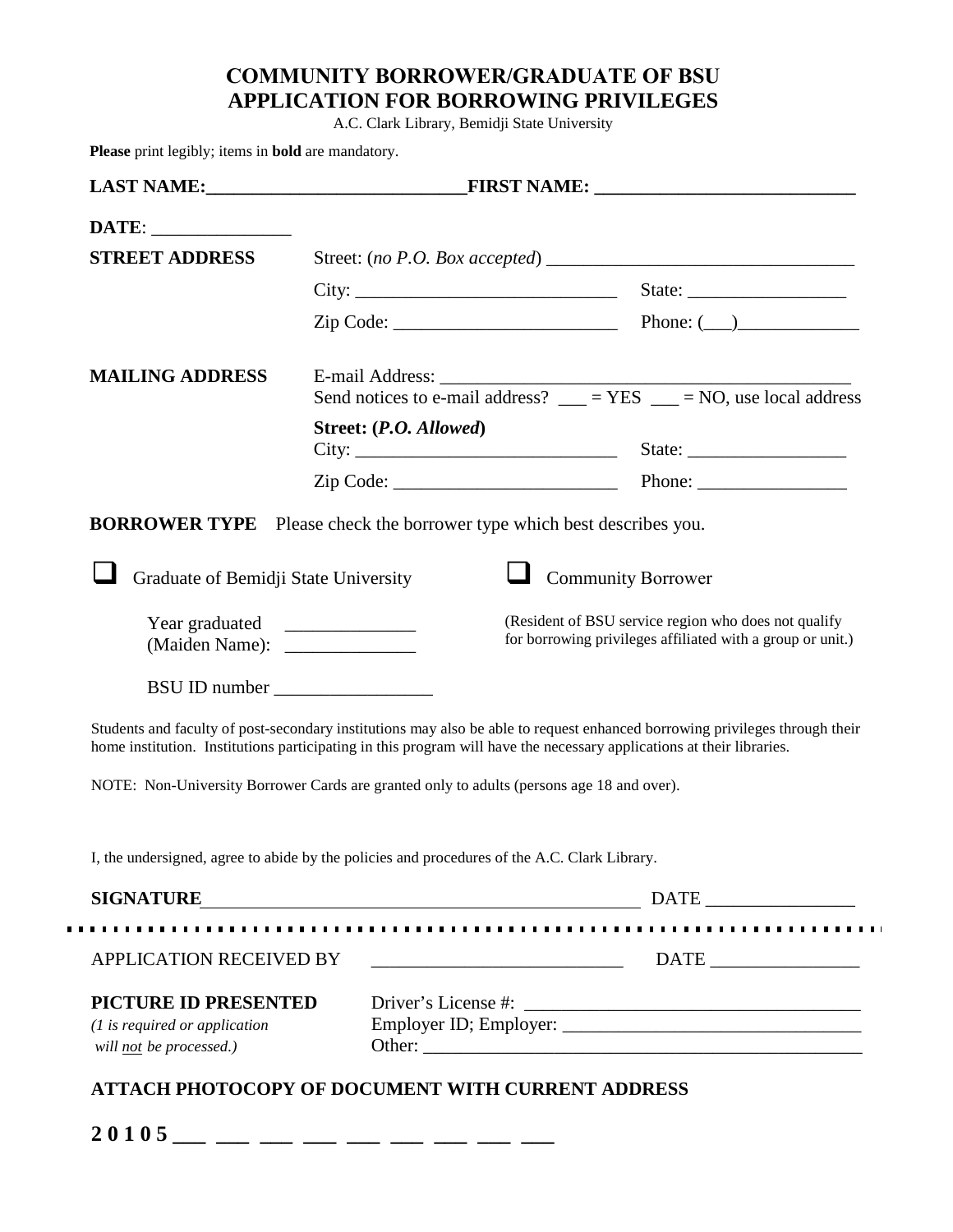## **COMMUNITY BORROWER/GRADUATE OF BSU APPLICATION FOR BORROWING PRIVILEGES**

A.C. Clark Library, Bemidji State University

**Please** print legibly; items in **bold** are mandatory.

|                                                                                              | LAST NAME: FIRST NAME:                                                                                                                                  |                                                                                                                                                                                                                                                      |  |
|----------------------------------------------------------------------------------------------|---------------------------------------------------------------------------------------------------------------------------------------------------------|------------------------------------------------------------------------------------------------------------------------------------------------------------------------------------------------------------------------------------------------------|--|
|                                                                                              |                                                                                                                                                         |                                                                                                                                                                                                                                                      |  |
| <b>STREET ADDRESS</b>                                                                        |                                                                                                                                                         |                                                                                                                                                                                                                                                      |  |
|                                                                                              |                                                                                                                                                         |                                                                                                                                                                                                                                                      |  |
|                                                                                              |                                                                                                                                                         | $Zip Code:$ Phone: (2)                                                                                                                                                                                                                               |  |
| <b>MAILING ADDRESS</b>                                                                       | E-mail Address: $\frac{\text{Send notices:}}{\text{Send notices to e-mail address?}}$ = YES $\frac{\text{F-Sol}}{\text{F-Sol}}$ = NO, use local address |                                                                                                                                                                                                                                                      |  |
|                                                                                              | Street: (P.O. Allowed)                                                                                                                                  |                                                                                                                                                                                                                                                      |  |
|                                                                                              |                                                                                                                                                         |                                                                                                                                                                                                                                                      |  |
|                                                                                              |                                                                                                                                                         | <b>BORROWER TYPE</b> Please check the borrower type which best describes you.                                                                                                                                                                        |  |
| Graduate of Bemidji State University                                                         |                                                                                                                                                         | <b>Community Borrower</b>                                                                                                                                                                                                                            |  |
| Year graduated _______________                                                               |                                                                                                                                                         | (Resident of BSU service region who does not qualify<br>for borrowing privileges affiliated with a group or unit.)                                                                                                                                   |  |
|                                                                                              |                                                                                                                                                         |                                                                                                                                                                                                                                                      |  |
|                                                                                              |                                                                                                                                                         | Students and faculty of post-secondary institutions may also be able to request enhanced borrowing privileges through their<br>home institution. Institutions participating in this program will have the necessary applications at their libraries. |  |
| NOTE: Non-University Borrower Cards are granted only to adults (persons age 18 and over).    |                                                                                                                                                         |                                                                                                                                                                                                                                                      |  |
| I, the undersigned, agree to abide by the policies and procedures of the A.C. Clark Library. |                                                                                                                                                         |                                                                                                                                                                                                                                                      |  |
| <b>SIGNATURE</b>                                                                             |                                                                                                                                                         |                                                                                                                                                                                                                                                      |  |
|                                                                                              |                                                                                                                                                         |                                                                                                                                                                                                                                                      |  |
| <b>APPLICATION RECEIVED BY</b>                                                               |                                                                                                                                                         |                                                                                                                                                                                                                                                      |  |
| <b>PICTURE ID PRESENTED</b>                                                                  |                                                                                                                                                         |                                                                                                                                                                                                                                                      |  |
| $(1$ is required or application                                                              |                                                                                                                                                         |                                                                                                                                                                                                                                                      |  |
| will not be processed.)                                                                      |                                                                                                                                                         |                                                                                                                                                                                                                                                      |  |
| <b>ATTACH PHOTOCOPY OF DOCUMENT WITH CURRENT ADDRESS</b>                                     |                                                                                                                                                         |                                                                                                                                                                                                                                                      |  |
| $20105$ — — — — — — — — — —                                                                  |                                                                                                                                                         |                                                                                                                                                                                                                                                      |  |